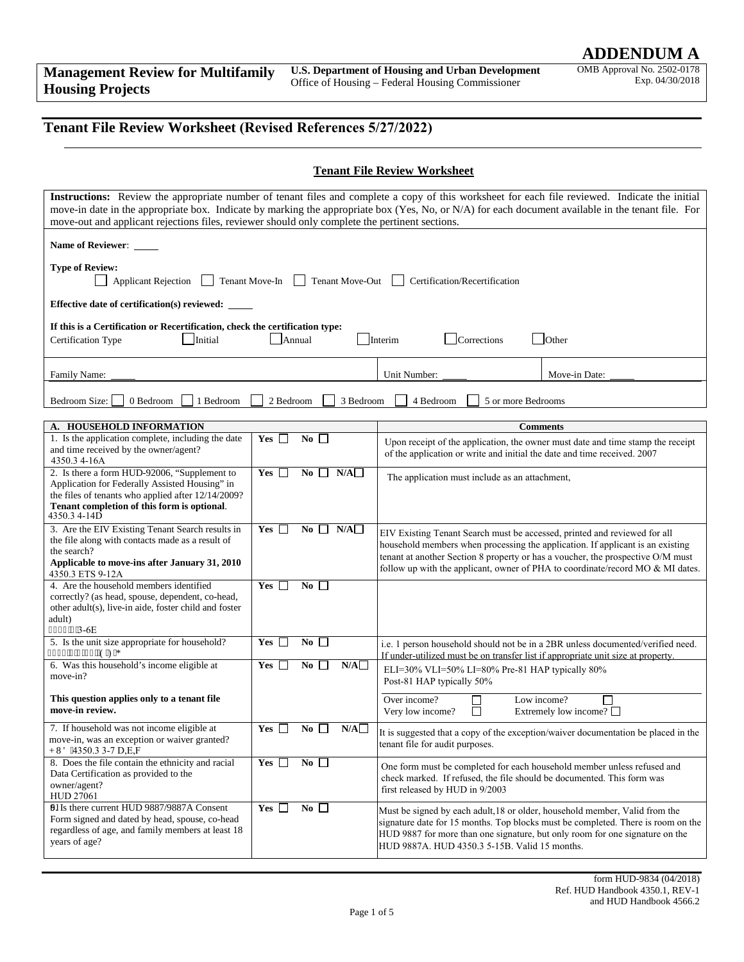OMB Approval No. 2502-0178 Exp. 04/30/2018

## **Tenant File Review Worksheet (Revised References 5/27/2022)**

|  | <b>Tenant File Review Worksheet</b> |
|--|-------------------------------------|
|  |                                     |

| Instructions: Review the appropriate number of tenant files and complete a copy of this worksheet for each file reviewed. Indicate the initial<br>move-in date in the appropriate box. Indicate by marking the appropriate box (Yes, No, or N/A) for each document available in the tenant file. For<br>move-out and applicant rejections files, reviewer should only complete the pertinent sections. |                                                     |                                                                                                                                                                                                                                                |                                                                                  |  |  |
|--------------------------------------------------------------------------------------------------------------------------------------------------------------------------------------------------------------------------------------------------------------------------------------------------------------------------------------------------------------------------------------------------------|-----------------------------------------------------|------------------------------------------------------------------------------------------------------------------------------------------------------------------------------------------------------------------------------------------------|----------------------------------------------------------------------------------|--|--|
| Name of Reviewer: _____                                                                                                                                                                                                                                                                                                                                                                                |                                                     |                                                                                                                                                                                                                                                |                                                                                  |  |  |
| <b>Type of Review:</b><br>Tenant Move-Out<br><b>Applicant Rejection</b><br>Tenant Move-In<br>Certification/Recertification                                                                                                                                                                                                                                                                             |                                                     |                                                                                                                                                                                                                                                |                                                                                  |  |  |
| Effective date of certification(s) reviewed: ____                                                                                                                                                                                                                                                                                                                                                      |                                                     |                                                                                                                                                                                                                                                |                                                                                  |  |  |
| If this is a Certification or Recertification, check the certification type:<br>Initial<br>Annual<br>Corrections<br>Other<br>Certification Type<br>Interim                                                                                                                                                                                                                                             |                                                     |                                                                                                                                                                                                                                                |                                                                                  |  |  |
| <b>Family Name:</b>                                                                                                                                                                                                                                                                                                                                                                                    |                                                     | Unit Number:                                                                                                                                                                                                                                   | Move-in Date:                                                                    |  |  |
| 0 Bedroom<br>1 Bedroom<br>Bedroom Size:                                                                                                                                                                                                                                                                                                                                                                | 2 Bedroom<br>3 Bedroom                              | 4 Bedroom<br>5 or more Bedrooms                                                                                                                                                                                                                |                                                                                  |  |  |
|                                                                                                                                                                                                                                                                                                                                                                                                        |                                                     |                                                                                                                                                                                                                                                |                                                                                  |  |  |
| A. HOUSEHOLD INFORMATION                                                                                                                                                                                                                                                                                                                                                                               |                                                     |                                                                                                                                                                                                                                                | <b>Comments</b>                                                                  |  |  |
| 1. Is the application complete, including the date<br>and time received by the owner/agent?<br>4350.3 4-16A                                                                                                                                                                                                                                                                                            | Yes<br>No.<br>$\mathbf{L}$<br>$\mathbf{L}$          | of the application or write and initial the date and time received. 2007                                                                                                                                                                       | Upon receipt of the application, the owner must date and time stamp the receipt  |  |  |
| 2. Is there a form HUD-92006, "Supplement to<br>Application for Federally Assisted Housing" in<br>the files of tenants who applied after 12/14/2009?<br>Tenant completion of this form is optional.<br>4350.3 4-14D                                                                                                                                                                                    | $Yes \Box$<br>N/A<br>No<br>$\overline{\phantom{a}}$ | The application must include as an attachment,                                                                                                                                                                                                 |                                                                                  |  |  |
| 3. Are the EIV Existing Tenant Search results in<br>the file along with contacts made as a result of<br>the search?<br>Applicable to move-ins after January 31, 2010<br>4350.3 ETS 9-12A                                                                                                                                                                                                               | $Yes \Box$<br>No<br>N/A                             | EIV Existing Tenant Search must be accessed, printed and reviewed for all<br>household members when processing the application. If applicant is an existing<br>tenant at another Section 8 property or has a voucher, the prospective O/M must | follow up with the applicant, owner of PHA to coordinate/record MO & MI dates.   |  |  |
| 4. Are the household members identified<br>correctly? (as head, spouse, dependent, co-head,<br>other adult(s), live-in aide, foster child and foster<br>adult)<br>657205"3-6E                                                                                                                                                                                                                          | No<br>$Yes \Box$                                    |                                                                                                                                                                                                                                                |                                                                                  |  |  |
| 5. Is the unit size appropriate for household?<br>657205"5/45."G.HI                                                                                                                                                                                                                                                                                                                                    | No $\square$<br>$Yes \Box$                          | i.e. 1 person household should not be in a 2BR unless documented/verified need.<br>If under-utilized must be on transfer list if appropriate unit size at property.                                                                            |                                                                                  |  |  |
| 6. Was this household's income eligible at<br>move-in?                                                                                                                                                                                                                                                                                                                                                 | No<br>N/A<br>Yes [                                  | ELI=30% VLI=50% LI=80% Pre-81 HAP typically 80%<br>Post-81 HAP typically 50%                                                                                                                                                                   |                                                                                  |  |  |
| This question applies only to a tenant file<br>move-in review.                                                                                                                                                                                                                                                                                                                                         |                                                     | Over income?<br>Very low income?<br>$\mathsf{L}$                                                                                                                                                                                               | Low income?<br>Extremely low income? $\Box$                                      |  |  |
| 7. If household was not income eligible at<br>move-in, was an exception or waiver granted?<br>J WF '4350.3 3-7 D.E.F                                                                                                                                                                                                                                                                                   | Yes<br>No<br>N/A                                    | It is suggested that a copy of the exception/waiver documentation be placed in the<br>tenant file for audit purposes.                                                                                                                          |                                                                                  |  |  |
| 8. Does the file contain the ethnicity and racial<br>Data Certification as provided to the<br>owner/agent?<br><b>HUD 27061</b>                                                                                                                                                                                                                                                                         | No<br>Yes $\Box$                                    | One form must be completed for each household member unless refused and<br>check marked. If refused, the file should be documented. This form was<br>first released by HUD in 9/2003                                                           |                                                                                  |  |  |
| 91Is there current HUD 9887/9887A Consent<br>Form signed and dated by head, spouse, co-head<br>regardless of age, and family members at least 18<br>years of age?                                                                                                                                                                                                                                      | No $\square$<br>Yes $\Box$                          | Must be signed by each adult, 18 or older, household member, Valid from the<br>HUD 9887 for more than one signature, but only room for one signature on the<br>HUD 9887A. HUD 4350.3 5-15B. Valid 15 months.                                   | signature date for 15 months. Top blocks must be completed. There is room on the |  |  |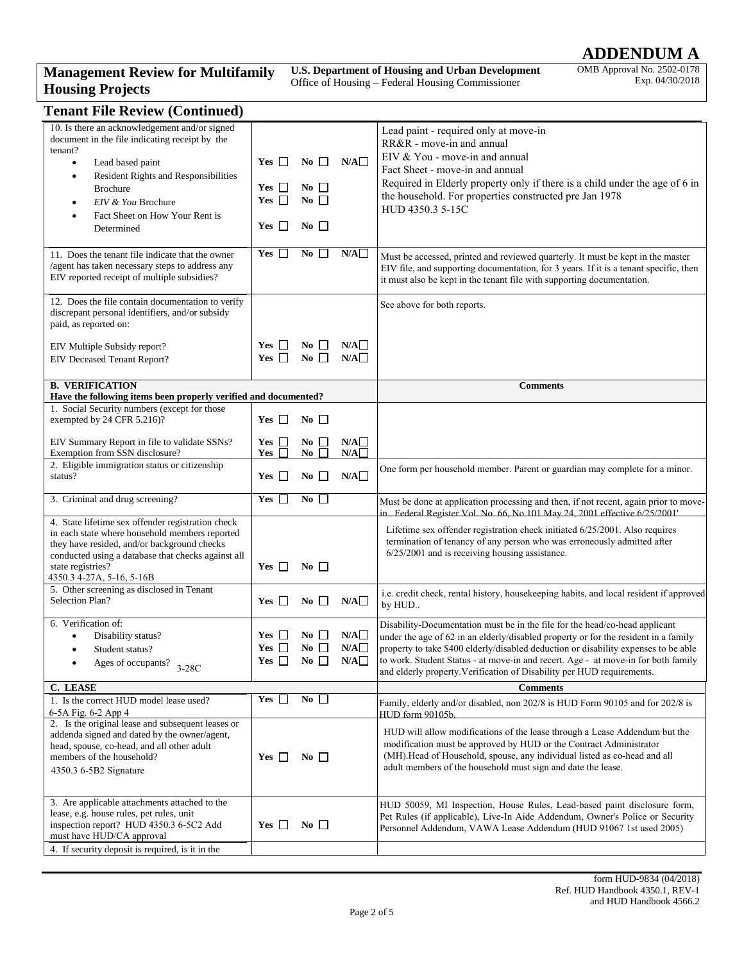# **ADDENDUM A**

## **Management Review for Multifamily Housing Projects**

**U.S. Department of Housing and Urban Development**  Office of Housing – Federal Housing Commissioner

OMB Approval No. 2502-0178 Exp. 04/30/2018

| <b>Tenant File Review (Continued)</b> |  |
|---------------------------------------|--|
|---------------------------------------|--|

| 10. Is there an acknowledgement and/or signed<br>document in the file indicating receipt by the<br>tenant?<br>Lead based paint<br>$\bullet$<br>Resident Rights and Responsibilities<br>$\bullet$<br><b>Brochure</b><br>EIV & You Brochure<br>$\bullet$<br>Fact Sheet on How Your Rent is<br>٠<br>Determined<br>11. Does the tenant file indicate that the owner | $Yes \Box$<br>Yes $\Box$<br>Yes $\square$<br>$Yes \Box$<br>$Yes \Box$ | $\overline{N_0}$ $\Box$<br>$\bf{No}$ $\Box$<br>$No \ \Box$<br>$\overline{N_0}$<br>No | N/A<br>N/A        | Lead paint - required only at move-in<br>RR&R - move-in and annual<br>EIV & You - move-in and annual<br>Fact Sheet - move-in and annual<br>Required in Elderly property only if there is a child under the age of 6 in<br>the household. For properties constructed pre Jan 1978<br>HUD 4350.3 5-15C<br>Must be accessed, printed and reviewed quarterly. It must be kept in the master                                  |
|-----------------------------------------------------------------------------------------------------------------------------------------------------------------------------------------------------------------------------------------------------------------------------------------------------------------------------------------------------------------|-----------------------------------------------------------------------|--------------------------------------------------------------------------------------|-------------------|--------------------------------------------------------------------------------------------------------------------------------------------------------------------------------------------------------------------------------------------------------------------------------------------------------------------------------------------------------------------------------------------------------------------------|
| /agent has taken necessary steps to address any<br>EIV reported receipt of multiple subsidies?<br>12. Does the file contain documentation to verify                                                                                                                                                                                                             |                                                                       |                                                                                      |                   | EIV file, and supporting documentation, for 3 years. If it is a tenant specific, then<br>it must also be kept in the tenant file with supporting documentation.<br>See above for both reports.                                                                                                                                                                                                                           |
| discrepant personal identifiers, and/or subsidy<br>paid, as reported on:                                                                                                                                                                                                                                                                                        |                                                                       |                                                                                      |                   |                                                                                                                                                                                                                                                                                                                                                                                                                          |
| EIV Multiple Subsidy report?<br>EIV Deceased Tenant Report?                                                                                                                                                                                                                                                                                                     | $Yes \Box$<br>Yes $\Box$                                              | $\overline{N_0}$ $\Box$<br>$\overline{N_0}$ $\Box$                                   | N/A<br>N/A        |                                                                                                                                                                                                                                                                                                                                                                                                                          |
| <b>B. VERIFICATION</b><br>Have the following items been properly verified and documented?                                                                                                                                                                                                                                                                       |                                                                       |                                                                                      |                   | <b>Comments</b>                                                                                                                                                                                                                                                                                                                                                                                                          |
| 1. Social Security numbers (except for those<br>exempted by 24 CFR 5.216)?                                                                                                                                                                                                                                                                                      | $Yes \Box$                                                            | $\bf{No}$                                                                            |                   |                                                                                                                                                                                                                                                                                                                                                                                                                          |
| EIV Summary Report in file to validate SSNs?<br>Exemption from SSN disclosure?                                                                                                                                                                                                                                                                                  | Yes $\Box$<br>Yes                                                     | $\overline{N_0}$ $\Box$<br>$No \Box$                                                 | N/A<br>N/A        |                                                                                                                                                                                                                                                                                                                                                                                                                          |
| 2. Eligible immigration status or citizenship<br>status?                                                                                                                                                                                                                                                                                                        | $Yes \Box$                                                            | $\overline{N_0}$                                                                     | N/A               | One form per household member. Parent or guardian may complete for a minor.                                                                                                                                                                                                                                                                                                                                              |
| 3. Criminal and drug screening?                                                                                                                                                                                                                                                                                                                                 | Yes $\Box$                                                            | $\overline{N_0}$                                                                     |                   | Must be done at application processing and then, if not recent, again prior to move-<br>in. Federal Register Vol. No. 66, No.101 May 24, 2001 effective 6/25/2001'                                                                                                                                                                                                                                                       |
| 4. State lifetime sex offender registration check<br>in each state where household members reported<br>they have resided, and/or background checks<br>conducted using a database that checks against all<br>state registries?<br>4350.3 4-27A, 5-16, 5-16B                                                                                                      | $Yes \Box$                                                            | $\bf{No}$                                                                            |                   | Lifetime sex offender registration check initiated 6/25/2001. Also requires<br>termination of tenancy of any person who was erroneously admitted after<br>$6/25/2001$ and is receiving housing assistance.                                                                                                                                                                                                               |
| 5. Other screening as disclosed in Tenant<br>Selection Plan?                                                                                                                                                                                                                                                                                                    | Yes $\Box$                                                            | $\bf{No}$                                                                            | N/A               | i.e. credit check, rental history, housekeeping habits, and local resident if approved<br>by HUD                                                                                                                                                                                                                                                                                                                         |
| 6. Verification of:<br>Disability status?<br>$\bullet$<br>Student status?<br>$\bullet$<br>Ages of occupants?<br>$3-28C$                                                                                                                                                                                                                                         | $Yes \Box$<br>Yes $\Box$<br>Yes $\square$                             | No $\Box$<br>No $\square$<br>No                                                      | N/A<br>N/A<br>N/A | Disability-Documentation must be in the file for the head/co-head applicant<br>under the age of 62 in an elderly/disabled property or for the resident in a family<br>property to take \$400 elderly/disabled deduction or disability expenses to be able<br>to work. Student Status - at move-in and recert. Age - at move-in for both family<br>and elderly property. Verification of Disability per HUD requirements. |
| C. LEASE                                                                                                                                                                                                                                                                                                                                                        | $Yes \Box$                                                            | $No \ \Box$                                                                          |                   | <b>Comments</b>                                                                                                                                                                                                                                                                                                                                                                                                          |
| 1. Is the correct HUD model lease used?<br>6-5A Fig. 6-2 App 4                                                                                                                                                                                                                                                                                                  |                                                                       |                                                                                      |                   | Family, elderly and/or disabled, non 202/8 is HUD Form 90105 and for 202/8 is<br><b>HUD</b> form 90105b                                                                                                                                                                                                                                                                                                                  |
| 2. Is the original lease and subsequent leases or<br>addenda signed and dated by the owner/agent,<br>head, spouse, co-head, and all other adult<br>members of the household?<br>4350.3 6-5B2 Signature                                                                                                                                                          | $Yes \Box$                                                            | No $\Box$                                                                            |                   | HUD will allow modifications of the lease through a Lease Addendum but the<br>modification must be approved by HUD or the Contract Administrator<br>(MH). Head of Household, spouse, any individual listed as co-head and all<br>adult members of the household must sign and date the lease.                                                                                                                            |
| 3. Are applicable attachments attached to the<br>lease, e.g. house rules, pet rules, unit<br>inspection report? HUD 4350.3 6-5C2 Add<br>must have HUD/CA approval<br>4. If security deposit is required, is it in the                                                                                                                                           | $Yes \Box$                                                            | $\bf{No}$                                                                            |                   | HUD 50059, MI Inspection, House Rules, Lead-based paint disclosure form,<br>Pet Rules (if applicable), Live-In Aide Addendum, Owner's Police or Security<br>Personnel Addendum, VAWA Lease Addendum (HUD 91067 1st used 2005)                                                                                                                                                                                            |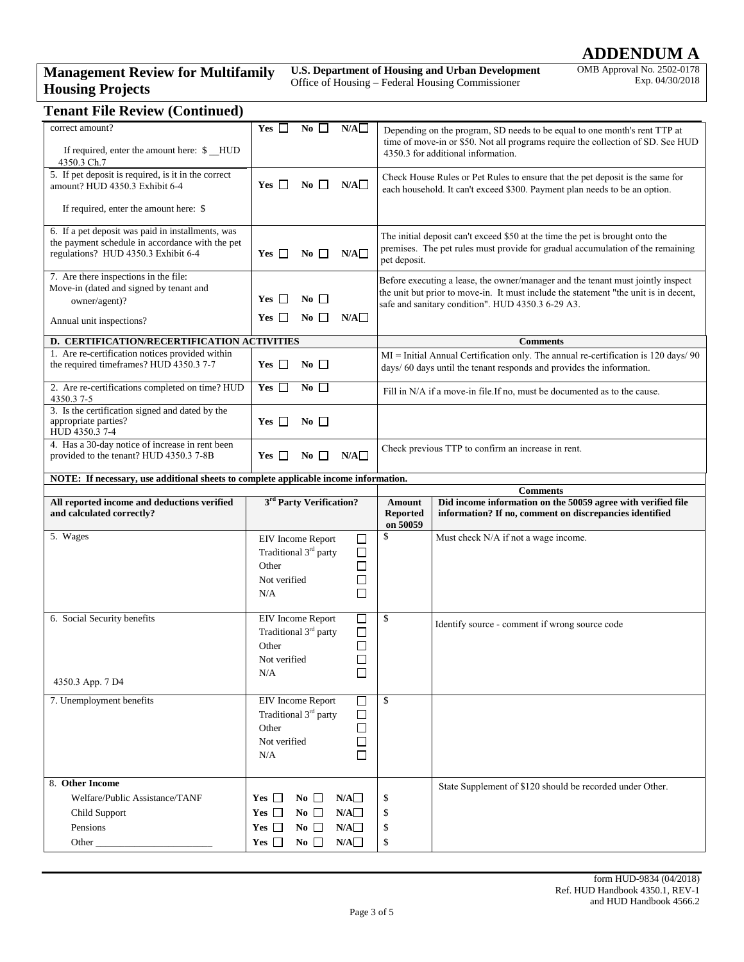## **ADDENDUM A**

## **Management Review for Multifamily Housing Projects**

**U.S. Department of Housing and Urban Development**  Office of Housing – Federal Housing Commissioner

OMB Approval No. 2502-0178 Exp. 04/30/2018

| <b>Tenant File Review (Continued)</b>                                                                                                       |                                                                                                                                            |                                                                                                                                                                                                                              |  |  |
|---------------------------------------------------------------------------------------------------------------------------------------------|--------------------------------------------------------------------------------------------------------------------------------------------|------------------------------------------------------------------------------------------------------------------------------------------------------------------------------------------------------------------------------|--|--|
| correct amount?<br>If required, enter the amount here: \$ HUD<br>4350.3 Ch.7                                                                | Yes $\Box$<br>No<br>N/A                                                                                                                    | Depending on the program, SD needs to be equal to one month's rent TTP at<br>time of move-in or \$50. Not all programs require the collection of SD. See HUD<br>4350.3 for additional information.                           |  |  |
| 5. If pet deposit is required, is it in the correct<br>amount? HUD 4350.3 Exhibit 6-4                                                       | $Yes \Box$<br>No $\Box$<br>N/A                                                                                                             | Check House Rules or Pet Rules to ensure that the pet deposit is the same for<br>each household. It can't exceed \$300. Payment plan needs to be an option.                                                                  |  |  |
| If required, enter the amount here: \$                                                                                                      |                                                                                                                                            |                                                                                                                                                                                                                              |  |  |
| 6. If a pet deposit was paid in installments, was<br>the payment schedule in accordance with the pet<br>regulations? HUD 4350.3 Exhibit 6-4 | Yes $\Box$<br>N/A<br>No $\Box$                                                                                                             | The initial deposit can't exceed \$50 at the time the pet is brought onto the<br>premises. The pet rules must provide for gradual accumulation of the remaining<br>pet deposit.                                              |  |  |
| 7. Are there inspections in the file:<br>Move-in (dated and signed by tenant and<br>owner/agent)?<br>Annual unit inspections?               | $Yes \Box$<br>$\bf{No}$ $\Box$<br>N/A<br>No $\square$<br>Yes                                                                               | Before executing a lease, the owner/manager and the tenant must jointly inspect<br>the unit but prior to move-in. It must include the statement "the unit is in decent,<br>safe and sanitary condition". HUD 4350.3 6-29 A3. |  |  |
|                                                                                                                                             |                                                                                                                                            |                                                                                                                                                                                                                              |  |  |
| D. CERTIFICATION/RECERTIFICATION ACTIVITIES<br>1. Are re-certification notices provided within                                              |                                                                                                                                            | <b>Comments</b><br>MI = Initial Annual Certification only. The annual re-certification is 120 days/ 90                                                                                                                       |  |  |
| the required timeframes? HUD 4350.3 7-7                                                                                                     | Yes $\Box$<br>$\overline{N_0}$                                                                                                             | days/ 60 days until the tenant responds and provides the information.                                                                                                                                                        |  |  |
| 2. Are re-certifications completed on time? HUD<br>4350.37-5                                                                                | No<br>Yes $\Box$                                                                                                                           | Fill in N/A if a move-in file.If no, must be documented as to the cause.                                                                                                                                                     |  |  |
| 3. Is the certification signed and dated by the<br>appropriate parties?<br>HUD 4350.3 7-4                                                   | $Yes \Box$<br>$\overline{N_0}$                                                                                                             |                                                                                                                                                                                                                              |  |  |
| 4. Has a 30-day notice of increase in rent been<br>provided to the tenant? HUD 4350.3 7-8B                                                  | N/A<br>$Yes \Box$<br>No                                                                                                                    | Check previous TTP to confirm an increase in rent.                                                                                                                                                                           |  |  |
| NOTE: If necessary, use additional sheets to complete applicable income information.                                                        |                                                                                                                                            |                                                                                                                                                                                                                              |  |  |
| All reported income and deductions verified                                                                                                 | <sup>3rd</sup> Party Verification?                                                                                                         | <b>Comments</b><br>Did income information on the 50059 agree with verified file<br>Amount                                                                                                                                    |  |  |
| and calculated correctly?                                                                                                                   |                                                                                                                                            | Reported<br>information? If no, comment on discrepancies identified<br>on 50059                                                                                                                                              |  |  |
| 5. Wages                                                                                                                                    | EIV Income Report<br>$\Box$<br>Traditional 3rd party<br>$\Box$<br>$\Box$<br>Other<br>$\Box$<br>Not verified<br>□<br>N/A                    | \$<br>Must check N/A if not a wage income.                                                                                                                                                                                   |  |  |
| 6. Social Security benefits                                                                                                                 | <b>EIV</b> Income Report                                                                                                                   | \$                                                                                                                                                                                                                           |  |  |
|                                                                                                                                             | Traditional 3 <sup>rd</sup> party<br>$\Box$<br>$\Box$<br>Other<br>Not verified<br>□<br>П<br>N/A                                            | Identify source - comment if wrong source code                                                                                                                                                                               |  |  |
| 4350.3 App. 7 D4                                                                                                                            |                                                                                                                                            |                                                                                                                                                                                                                              |  |  |
| 7. Unemployment benefits                                                                                                                    | <b>EIV</b> Income Report<br>$\Box$<br>Traditional 3 <sup>rd</sup> party<br>$\Box$<br>Other<br>$\Box$<br>Not verified<br>$\Box$<br>П<br>N/A | $\mathbf{s}$                                                                                                                                                                                                                 |  |  |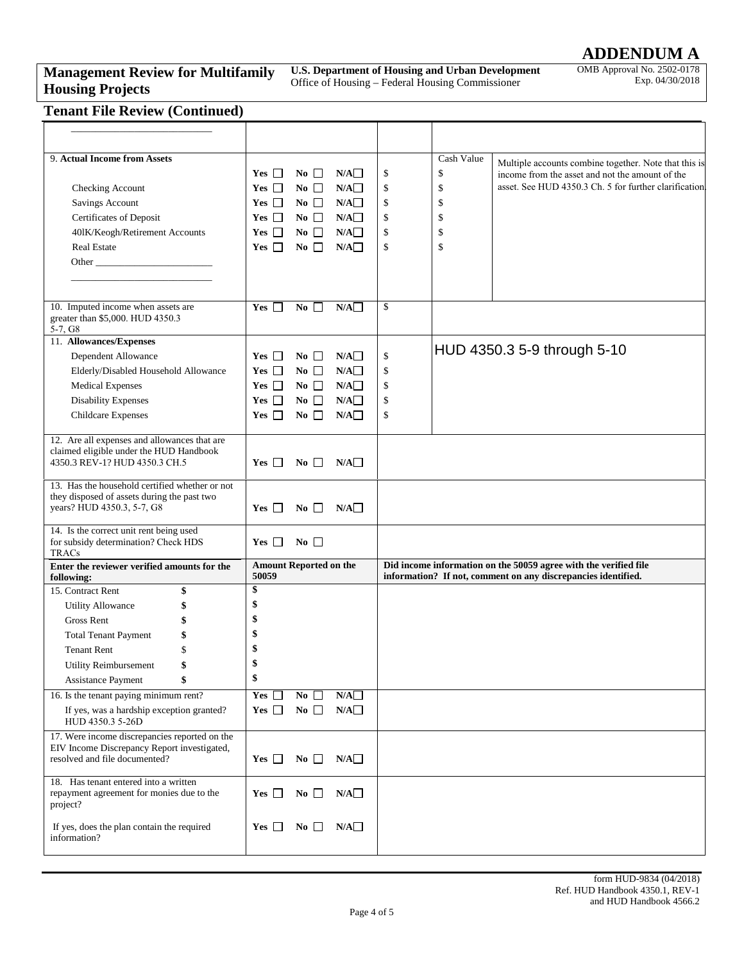# **ADDENDUM A**

### **Management Review for Multifamily Housing Projects**

**U.S. Department of Housing and Urban Development**  Office of Housing – Federal Housing Commissioner

OMB Approval No. 2502-0178 Exp. 04/30/2018

## **Tenant File Review (Continued)**

| 9. Actual Income from Assets                                                                                                  |                                        |           | Cash Value          | Multiple accounts combine together. Note that this is                                                                             |
|-------------------------------------------------------------------------------------------------------------------------------|----------------------------------------|-----------|---------------------|-----------------------------------------------------------------------------------------------------------------------------------|
|                                                                                                                               | $Yes \Box$<br>$\bf{No}$                | N/A       | \$<br>\$            | income from the asset and not the amount of the                                                                                   |
| Checking Account                                                                                                              | No $\Box$<br>$Yes \Box$                | N/A       | \$<br>\$            | asset. See HUD 4350.3 Ch. 5 for further clarification                                                                             |
| Savings Account                                                                                                               | No $\Box$<br>$Yes$ $\Box$              | N/A       | \$<br>\$            |                                                                                                                                   |
| Certificates of Deposit                                                                                                       | No $\square$<br>$Yes$ $\Box$           | N/A       | \$<br>\$            |                                                                                                                                   |
| 401K/Keogh/Retirement Accounts                                                                                                | Yes $\Box$<br>$\bf{No}$                | N/A       | \$<br>\$            |                                                                                                                                   |
| Real Estate                                                                                                                   | No $\Box$<br>$Yes \Box$                | N/A       | \$<br><sup>\$</sup> |                                                                                                                                   |
|                                                                                                                               |                                        |           |                     |                                                                                                                                   |
|                                                                                                                               |                                        |           |                     |                                                                                                                                   |
|                                                                                                                               |                                        |           |                     |                                                                                                                                   |
| 10. Imputed income when assets are<br>greater than \$5,000. HUD 4350.3<br>$5-7, G8$                                           | $\overline{N_0}$<br>$Yes \Box$         | N/A       | \$                  |                                                                                                                                   |
| 11. Allowances/Expenses                                                                                                       |                                        |           |                     |                                                                                                                                   |
| Dependent Allowance                                                                                                           | No $\Box$<br>$Yes \Box$                | N/A       | \$                  | HUD 4350.3 5-9 through 5-10                                                                                                       |
| Elderly/Disabled Household Allowance                                                                                          | No $\Box$<br>$Yes$ $\Box$              | N/A       | \$                  |                                                                                                                                   |
| <b>Medical Expenses</b>                                                                                                       | No $\Box$<br>$Yes \Box$                | N/A       | \$                  |                                                                                                                                   |
| <b>Disability Expenses</b>                                                                                                    | $No \ \Box$<br>$Yes \Box$              | N/A       | \$                  |                                                                                                                                   |
| <b>Childcare Expenses</b>                                                                                                     | No $\Box$<br>$Yes \Box$                | N/A       | \$                  |                                                                                                                                   |
|                                                                                                                               |                                        |           |                     |                                                                                                                                   |
| 12. Are all expenses and allowances that are<br>claimed eligible under the HUD Handbook<br>4350.3 REV-1? HUD 4350.3 CH.5      | $Yes \ \Box$<br>No $\square$           | N/A       |                     |                                                                                                                                   |
| 13. Has the household certified whether or not<br>they disposed of assets during the past two<br>years? HUD 4350.3, 5-7, G8   | $Yes$ $\Box$<br>No $\Box$              | N/A       |                     |                                                                                                                                   |
| 14. Is the correct unit rent being used<br>for subsidy determination? Check HDS<br>TRACs                                      | $\bf{No}$<br>$Yes$ $\Box$              |           |                     |                                                                                                                                   |
| Enter the reviewer verified amounts for the<br>following:                                                                     | <b>Amount Reported on the</b><br>50059 |           |                     | Did income information on the 50059 agree with the verified file<br>information? If not, comment on any discrepancies identified. |
| 15. Contract Rent<br>\$                                                                                                       | \$                                     |           |                     |                                                                                                                                   |
| <b>Utility Allowance</b><br>\$                                                                                                | \$                                     |           |                     |                                                                                                                                   |
| Gross Rent<br>\$                                                                                                              | \$                                     |           |                     |                                                                                                                                   |
| <b>Total Tenant Payment</b><br>\$                                                                                             | \$                                     |           |                     |                                                                                                                                   |
| <b>Tenant Rent</b><br>\$                                                                                                      | \$                                     |           |                     |                                                                                                                                   |
| Utility Reimbursement                                                                                                         |                                        |           |                     |                                                                                                                                   |
| \$<br>Assistance Payment                                                                                                      | \$                                     |           |                     |                                                                                                                                   |
| 16. Is the tenant paying minimum rent?                                                                                        | No $\square$<br>Yes $\square$          | N/A       |                     |                                                                                                                                   |
| If yes, was a hardship exception granted?<br>HUD 4350.3 5-26D                                                                 | No $\square$<br>Yes $\Box$             | N/A       |                     |                                                                                                                                   |
| 17. Were income discrepancies reported on the<br>EIV Income Discrepancy Report investigated,<br>resolved and file documented? | No $\square$<br>Yes $\Box$             | N/A       |                     |                                                                                                                                   |
| 18. Has tenant entered into a written<br>repayment agreement for monies due to the<br>project?                                | Yes $\Box$<br>No $\Box$                | $N/A\Box$ |                     |                                                                                                                                   |
| If yes, does the plan contain the required<br>information?                                                                    | No $\Box$<br>$Yes$ $\Box$              | N/A       |                     |                                                                                                                                   |